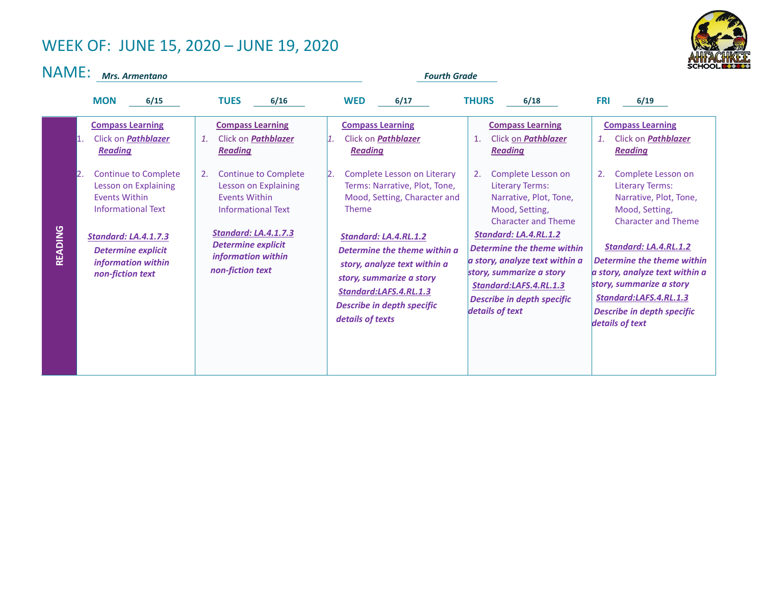## WEEK OF: JUNE 15, 2020 – JUNE 19, 2020



NAME: *Mrs. Armentano Fourth Grade*

|         | <b>MON</b><br>6/15                                                                                                                                                                                                                                                                                      | <b>TUES</b><br>6/16                                                                                                                                                                                                                                                                                               | <b>WED</b><br>6/17                                                                                                                                                                                                                                                                                                                                                                                            | <b>THURS</b><br>6/18                                                                                                                                                                                                                                                                                                                                                                                                      | <b>FRI</b><br>6/19                                                                                                                                                                                                                                                                                                                                                                                             |
|---------|---------------------------------------------------------------------------------------------------------------------------------------------------------------------------------------------------------------------------------------------------------------------------------------------------------|-------------------------------------------------------------------------------------------------------------------------------------------------------------------------------------------------------------------------------------------------------------------------------------------------------------------|---------------------------------------------------------------------------------------------------------------------------------------------------------------------------------------------------------------------------------------------------------------------------------------------------------------------------------------------------------------------------------------------------------------|---------------------------------------------------------------------------------------------------------------------------------------------------------------------------------------------------------------------------------------------------------------------------------------------------------------------------------------------------------------------------------------------------------------------------|----------------------------------------------------------------------------------------------------------------------------------------------------------------------------------------------------------------------------------------------------------------------------------------------------------------------------------------------------------------------------------------------------------------|
| READING | <b>Compass Learning</b><br>Click on <b>Pathblazer</b><br>11.<br><b>Reading</b><br><b>Continue to Complete</b><br>12.<br>Lesson on Explaining<br><b>Events Within</b><br><b>Informational Text</b><br><b>Standard: LA.4.1.7.3</b><br><b>Determine explicit</b><br>information within<br>non-fiction text | <b>Compass Learning</b><br>Click on <b>Pathblazer</b><br>$\mathbf{1}$ .<br><b>Reading</b><br><b>Continue to Complete</b><br>2.<br>Lesson on Explaining<br><b>Fvents Within</b><br><b>Informational Text</b><br><b>Standard: LA.4.1.7.3</b><br><b>Determine explicit</b><br>information within<br>non-fiction text | <b>Compass Learning</b><br>Click on <b>Pathblazer</b><br><b>Reading</b><br>Complete Lesson on Literary<br>12.<br>Terms: Narrative, Plot, Tone,<br>Mood, Setting, Character and<br><b>Theme</b><br><b>Standard: LA.4.RL.1.2</b><br>Determine the theme within a<br>story, analyze text within a<br>story, summarize a story<br>Standard:LAFS.4.RL.1.3<br><b>Describe in depth specific</b><br>details of texts | <b>Compass Learning</b><br>Click on <b>Pathblazer</b><br>$\mathbf{1}$ .<br><b>Reading</b><br>Complete Lesson on<br>2.<br>Literary Terms:<br>Narrative, Plot, Tone,<br>Mood, Setting,<br><b>Character and Theme</b><br>Standard: LA.4.RL.1.2<br>Determine the theme within<br>a story, analyze text within a<br>story, summarize a story<br>Standard:LAFS.4.RL.1.3<br><b>Describe in depth specific</b><br>details of text | <b>Compass Learning</b><br>Click on <b>Pathblazer</b><br><b>Reading</b><br>Complete Lesson on<br>2.<br><b>Literary Terms:</b><br>Narrative, Plot, Tone,<br>Mood, Setting,<br><b>Character and Theme</b><br>Standard: LA.4.RL.1.2<br>Determine the theme within<br>a story, analyze text within a<br>story, summarize a story<br>Standard:LAFS.4.RL.1.3<br><b>Describe in depth specific</b><br>details of text |
|         |                                                                                                                                                                                                                                                                                                         |                                                                                                                                                                                                                                                                                                                   |                                                                                                                                                                                                                                                                                                                                                                                                               |                                                                                                                                                                                                                                                                                                                                                                                                                           |                                                                                                                                                                                                                                                                                                                                                                                                                |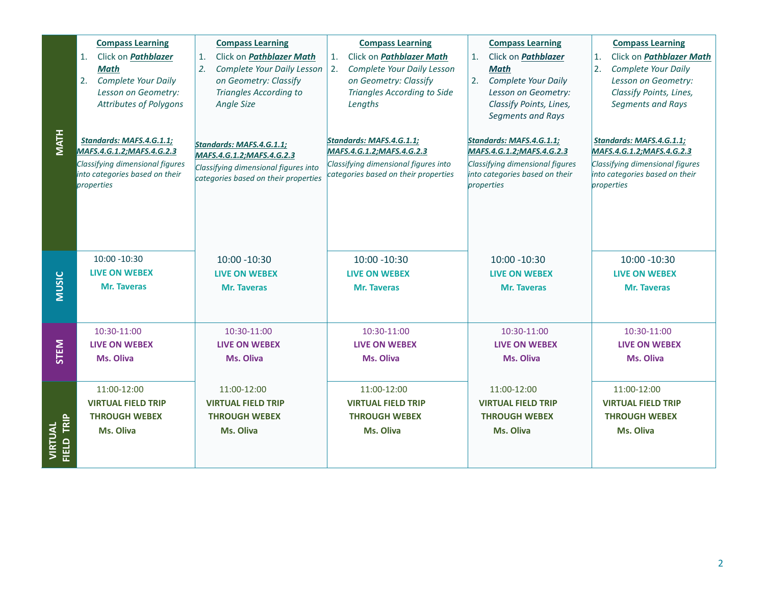| <b>MATH</b>           | <b>Compass Learning</b><br>Click on Pathblazer<br>1.<br><b>Math</b><br><b>Complete Your Daily</b><br>2.<br>Lesson on Geometry:<br><b>Attributes of Polygons</b><br>Standards: MAFS.4.G.1.1;<br>MAFS.4.G.1.2; MAFS.4.G.2.3<br>Classifying dimensional figures<br>into categories based on their<br>properties | <b>Compass Learning</b><br>Click on <i>Pathblazer Math</i><br>1.<br>2.<br>Complete Your Daily Lesson<br>on Geometry: Classify<br><b>Triangles According to</b><br><b>Angle Size</b><br>Standards: MAFS.4.G.1.1;<br>MAFS.4.G.1.2; MAFS.4.G.2.3<br>Classifying dimensional figures into<br>categories based on their properties | <b>Compass Learning</b><br>Click on <i>Pathblazer Math</i><br>1 <sup>1</sup><br>Complete Your Daily Lesson<br>2.<br>on Geometry: Classify<br>Triangles According to Side<br>Lengths<br>Standards: MAFS.4.G.1.1;<br>MAFS.4.G.1.2;MAFS.4.G.2.3<br>Classifying dimensional figures into<br>categories based on their properties | <b>Compass Learning</b><br>Click on Pathblazer<br>1.<br><b>Math</b><br>2. Complete Your Daily<br>Lesson on Geometry:<br>Classify Points, Lines,<br>Segments and Rays<br>Standards: MAFS.4.G.1.1;<br>MAFS.4.G.1.2; MAFS.4.G.2.3<br>Classifying dimensional figures<br>into categories based on their<br>properties | <b>Compass Learning</b><br>Click on <i>Pathblazer Math</i><br>1.<br>2.<br>Complete Your Daily<br>Lesson on Geometry:<br>Classify Points, Lines,<br><b>Segments and Rays</b><br>Standards: MAFS.4.G.1.1;<br>MAFS.4.G.1.2; MAFS.4.G.2.3<br>Classifying dimensional figures<br>into categories based on their<br>properties |
|-----------------------|--------------------------------------------------------------------------------------------------------------------------------------------------------------------------------------------------------------------------------------------------------------------------------------------------------------|-------------------------------------------------------------------------------------------------------------------------------------------------------------------------------------------------------------------------------------------------------------------------------------------------------------------------------|------------------------------------------------------------------------------------------------------------------------------------------------------------------------------------------------------------------------------------------------------------------------------------------------------------------------------|-------------------------------------------------------------------------------------------------------------------------------------------------------------------------------------------------------------------------------------------------------------------------------------------------------------------|--------------------------------------------------------------------------------------------------------------------------------------------------------------------------------------------------------------------------------------------------------------------------------------------------------------------------|
| <b>MUSIC</b>          | 10:00 -10:30                                                                                                                                                                                                                                                                                                 | 10:00 -10:30                                                                                                                                                                                                                                                                                                                  | $10:00 - 10:30$                                                                                                                                                                                                                                                                                                              | $10:00 - 10:30$                                                                                                                                                                                                                                                                                                   | 10:00 -10:30                                                                                                                                                                                                                                                                                                             |
|                       | <b>LIVE ON WEBEX</b>                                                                                                                                                                                                                                                                                         | <b>LIVE ON WEBEX</b>                                                                                                                                                                                                                                                                                                          | <b>LIVE ON WEBEX</b>                                                                                                                                                                                                                                                                                                         | <b>LIVE ON WEBEX</b>                                                                                                                                                                                                                                                                                              | <b>LIVE ON WEBEX</b>                                                                                                                                                                                                                                                                                                     |
|                       | <b>Mr. Taveras</b>                                                                                                                                                                                                                                                                                           | <b>Mr. Taveras</b>                                                                                                                                                                                                                                                                                                            | <b>Mr. Taveras</b>                                                                                                                                                                                                                                                                                                           | <b>Mr. Taveras</b>                                                                                                                                                                                                                                                                                                | <b>Mr. Taveras</b>                                                                                                                                                                                                                                                                                                       |
| STEM                  | 10:30-11:00                                                                                                                                                                                                                                                                                                  | 10:30-11:00                                                                                                                                                                                                                                                                                                                   | 10:30-11:00                                                                                                                                                                                                                                                                                                                  | 10:30-11:00                                                                                                                                                                                                                                                                                                       | 10:30-11:00                                                                                                                                                                                                                                                                                                              |
|                       | <b>LIVE ON WEBEX</b>                                                                                                                                                                                                                                                                                         | <b>LIVE ON WEBEX</b>                                                                                                                                                                                                                                                                                                          | <b>LIVE ON WEBEX</b>                                                                                                                                                                                                                                                                                                         | <b>LIVE ON WEBEX</b>                                                                                                                                                                                                                                                                                              | <b>LIVE ON WEBEX</b>                                                                                                                                                                                                                                                                                                     |
|                       | Ms. Oliva                                                                                                                                                                                                                                                                                                    | <b>Ms. Oliva</b>                                                                                                                                                                                                                                                                                                              | Ms. Oliva                                                                                                                                                                                                                                                                                                                    | Ms. Oliva                                                                                                                                                                                                                                                                                                         | Ms. Oliva                                                                                                                                                                                                                                                                                                                |
| VIRTUAL<br>FIELD TRIP | 11:00-12:00                                                                                                                                                                                                                                                                                                  | 11:00-12:00                                                                                                                                                                                                                                                                                                                   | 11:00-12:00                                                                                                                                                                                                                                                                                                                  | 11:00-12:00                                                                                                                                                                                                                                                                                                       | 11:00-12:00                                                                                                                                                                                                                                                                                                              |
|                       | <b>VIRTUAL FIELD TRIP</b>                                                                                                                                                                                                                                                                                    | <b>VIRTUAL FIELD TRIP</b>                                                                                                                                                                                                                                                                                                     | <b>VIRTUAL FIELD TRIP</b>                                                                                                                                                                                                                                                                                                    | <b>VIRTUAL FIELD TRIP</b>                                                                                                                                                                                                                                                                                         | <b>VIRTUAL FIELD TRIP</b>                                                                                                                                                                                                                                                                                                |
|                       | <b>THROUGH WEBEX</b>                                                                                                                                                                                                                                                                                         | <b>THROUGH WEBEX</b>                                                                                                                                                                                                                                                                                                          | <b>THROUGH WEBEX</b>                                                                                                                                                                                                                                                                                                         | <b>THROUGH WEBEX</b>                                                                                                                                                                                                                                                                                              | <b>THROUGH WEBEX</b>                                                                                                                                                                                                                                                                                                     |
|                       | Ms. Oliva                                                                                                                                                                                                                                                                                                    | Ms. Oliva                                                                                                                                                                                                                                                                                                                     | Ms. Oliva                                                                                                                                                                                                                                                                                                                    | Ms. Oliva                                                                                                                                                                                                                                                                                                         | Ms. Oliva                                                                                                                                                                                                                                                                                                                |